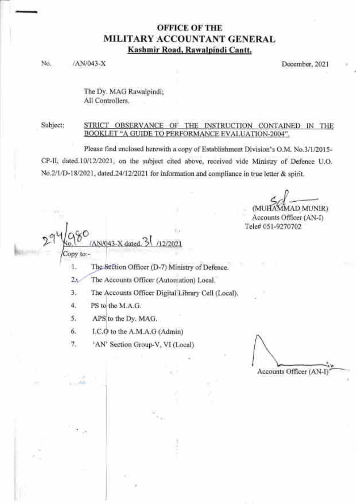# OFFICE OF THE MILITARY ACCOUNTANT GENERAL Kashmir Road, Rawalpindi Cantt.

No. /AN/043-X December, 2021

The Dy. MAG Rawalpindi; All Controllers.

Subject: STRICT OBSERVANCE OF THE INSTRUCTION CONTAINED IN THE BOOKLET "A GUIDE TO PERFORMANCE EVALUATION-2004".

Please find enclosed herewith a copy of Establishment Division's O.M. No.3/112015- CP-II, dated.10/12/2021, on the subject cited above, received vide Ministry of Defence U.O. No.2/1/D-18/2021, dated.24/12/2021 for information and compliance in true letter & spirit.

**MAD MUNIRY** Accounts Officer (AN-I) Tele# 051-9270702

29Ya80 Copy to:-

I The Section Officer (D-7) Ministry of Defence.

 $2\lambda$ The Accounts Officer (Automation) Local.

J The Accounts Officer Digital Library Cell (Local).

4. PS to the M.A.G.

5. APS to the Dy. MAG.

AN/043-X dated

6. I.C to the A.M.A.G (Admin)

'7. 'AN' Section Group-V, VI (Local)

t Accounts Officer (AN-I)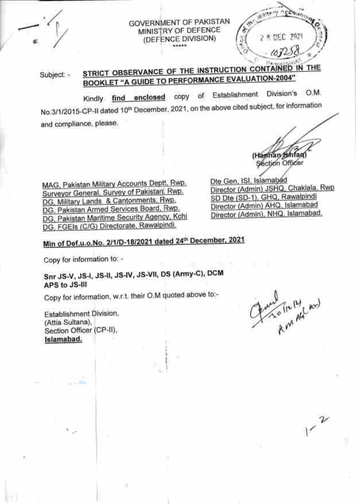# GOVERNMENT OF PAKISTAN MINISTRY OF DEFENCE (DEFENCE DIVISION)

STRICT OBSERVANCE OF THE INSTRUCTION CONTAINED IN THE Subject: -BOOKLET "A GUIDE TO PERFORMANCE EVALUATION-2004"

copy of Establishment Division's O.M. Kindly find enclosed No.3/1/2015-CP-II dated 10<sup>th</sup> December, 2021, on the above cited subject, for information and compliance, please.

MAG, Pakistan Military Accounts Deptt, Rwp. Surveyor General, Survey of Pakistan, Rwp. DG, Military Lands & Cantonments, Rwp. DG, Pakistan Armed Services Board, Rwp. DG, Pakistan Maritime Security Agency, Kchi DG, FGEIs (C/G) Directorate, Rawalpindi.

(Hannan Ishfaq) Section Officer Dte Gen, ISI, Islamabed

2 8 DEC 2021

 $107258$ 

Director (Admin) JSHQ, Chaklala, Rwp SD Dte (SD-1), GHQ, Rawalpindi Director (Admin) AHQ, Islamabad Director (Admin), NHQ, Islamabad,

# Min of Def.u.o.No. 2/1/D-18/2021 dated 24th December, 2021

Copy for information to: -

Snr JS-V, JS-I, JS-II, JS-IV, JS-VII, DS (Army-C), DCM APS to JS-III

Copy for information, w.r.t. their O.M quoted above to:-

Establishment Division, (Attia Sultana). Section Officer (CP-II), Islamabad.

who fix it and

 $v^2$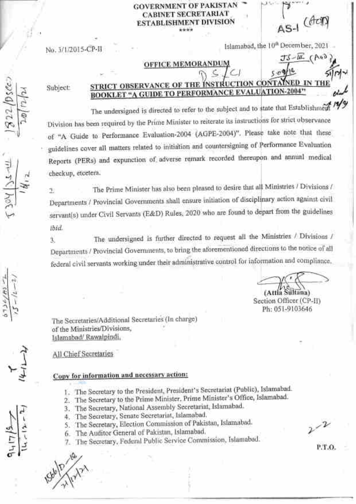**GOVERNMENT OF PAKISTAN CABINET SECRETARIAT ESTABLISHMENT DIVISION** \*\*\*\*

JS-IL (AG)

Islamabad, the 10th December, 2021

### **OFFICE MEMORANDU**

Subject:

 $22/b$ se

No. 3/1/2015-CP-II

#### INSTRUCTION CONTAINED IN THE STRICT OBSERVANCE OF THE **BOOKLET "A GUIDE TO PERFORMANCE EVALUATION-2004"**

The undersigned is directed to refer to the subject and to state that Establishment  $\frac{M}{2}$ Division has been required by the Prime Minister to reiterate its instructions for strict observance of "A Guide to Performance Evaluation-2004 (AGPE-2004)". Please take note that these guidelines cover all matters related to initiation and countersigning of Performance Evaluation Reports (PERs) and expunction of adverse remark recorded thereupon and annual medical checkup, etcetera.

The Prime Minister has also been pleased to desire that all Ministries / Divisions /  $\overline{2}$ Departments / Provincial Governments shall ensure initiation of disciplinary action against civil servant(s) under Civil Servants (E&D) Rules, 2020 who are found to depart from the guidelines ibid.

The undersigned is further directed to request all the Ministries / Divisions / 3. Departments / Provincial Governments, to bring the aforementioned directions to the notice of all federal civil servants working under their administrative control for information and compliance.

(Attia Sultana) Section Officer (CP-II) Ph: 051-9103646

The Secretaries/Additional Secretaries (In charge) of the Ministries/Divisions, Islamabad/ Rawalpindi,

All Chief Secretaries

# Copy for information and necessary action:

- 1. The Secretary to the President, President's Secretariat (Public), Islamabad.
- 2. The Secretary to the Prime Minister, Prime Minister's Office, Islamabad.
- 3. The Secretary, National Assembly Secretariat, Islamabad.
- 4. The Secretary, Senate Secretariat, Islamabad.
- The Secretary, Election Commission of Pakistan, Islamabad. S.
- The Auditor General of Pakistan, Islamabad. 6.
- The Secretary, Federal Public Service Commission, Islamabad. 7.

P.T.O.